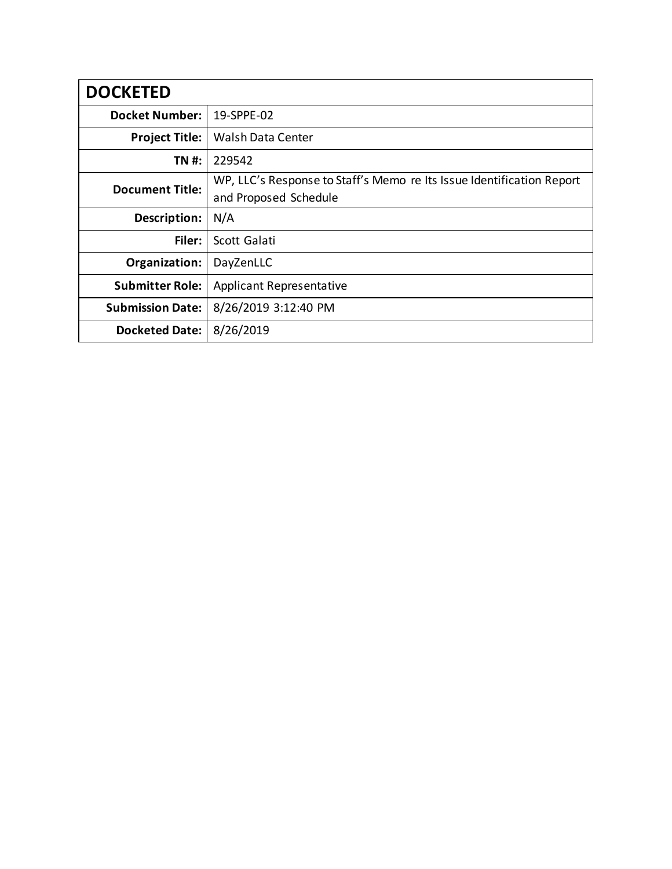| <b>DOCKETED</b>         |                                                                                                |
|-------------------------|------------------------------------------------------------------------------------------------|
| <b>Docket Number:</b>   | 19-SPPE-02                                                                                     |
| <b>Project Title:</b>   | Walsh Data Center                                                                              |
| TN #:                   | 229542                                                                                         |
| <b>Document Title:</b>  | WP, LLC's Response to Staff's Memo re Its Issue Identification Report<br>and Proposed Schedule |
| Description:            | N/A                                                                                            |
| Filer:                  | Scott Galati                                                                                   |
| Organization:           | DayZenLLC                                                                                      |
| <b>Submitter Role:</b>  | <b>Applicant Representative</b>                                                                |
| <b>Submission Date:</b> | 8/26/2019 3:12:40 PM                                                                           |
| <b>Docketed Date:</b>   | 8/26/2019                                                                                      |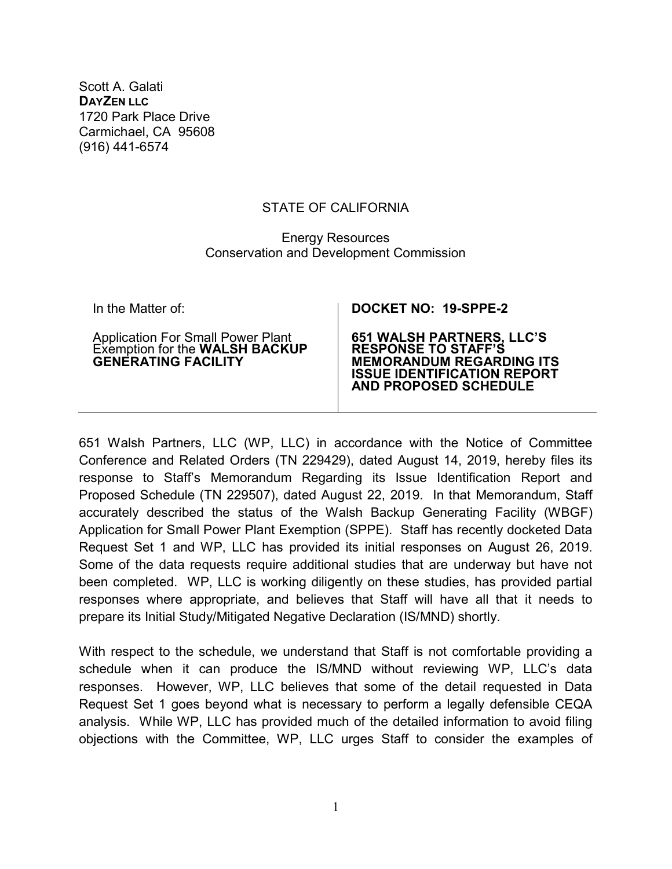Scott A. Galati **DAYZEN LLC** 1720 Park Place Drive Carmichael, CA 95608 (916) 441-6574

## STATE OF CALIFORNIA

## Energy Resources Conservation and Development Commission

| In the Matter of:                                                                                 | DOCKET NO: 19-SPPE-2                                                                                                                                          |
|---------------------------------------------------------------------------------------------------|---------------------------------------------------------------------------------------------------------------------------------------------------------------|
| Application For Small Power Plant<br>Exemption for the WALSH BACKUP<br><b>GENERATING FACILITY</b> | <b>651 WALSH PARTNERS, LLC'S RESPONSE TO STAFF'S</b><br><b>MEMORANDUM REGARDING ITS</b><br><b>ISSUE IDENTIFICATION REPORT</b><br><b>AND PROPOSED SCHEDULE</b> |

651 Walsh Partners, LLC (WP, LLC) in accordance with the Notice of Committee Conference and Related Orders (TN 229429), dated August 14, 2019, hereby files its response to Staff's Memorandum Regarding its Issue Identification Report and Proposed Schedule (TN 229507), dated August 22, 2019. In that Memorandum, Staff accurately described the status of the Walsh Backup Generating Facility (WBGF) Application for Small Power Plant Exemption (SPPE). Staff has recently docketed Data Request Set 1 and WP, LLC has provided its initial responses on August 26, 2019. Some of the data requests require additional studies that are underway but have not been completed. WP, LLC is working diligently on these studies, has provided partial responses where appropriate, and believes that Staff will have all that it needs to prepare its Initial Study/Mitigated Negative Declaration (IS/MND) shortly.

With respect to the schedule, we understand that Staff is not comfortable providing a schedule when it can produce the IS/MND without reviewing WP, LLC's data responses. However, WP, LLC believes that some of the detail requested in Data Request Set 1 goes beyond what is necessary to perform a legally defensible CEQA analysis. While WP, LLC has provided much of the detailed information to avoid filing objections with the Committee, WP, LLC urges Staff to consider the examples of